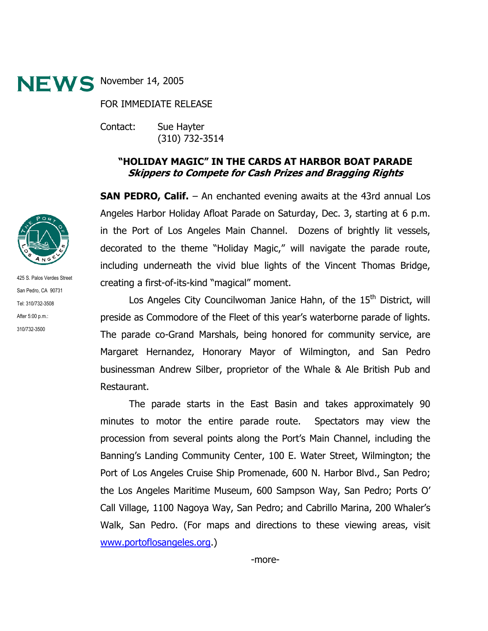

FOR IMMEDIATE RELEASE

Contact: Sue Hayter (310) 732-3514

## **"HOLIDAY MAGIC" IN THE CARDS AT HARBOR BOAT PARADE Skippers to Compete for Cash Prizes and Bragging Rights**

**SAN PEDRO, Calif.** – An enchanted evening awaits at the 43rd annual Los Angeles Harbor Holiday Afloat Parade on Saturday, Dec. 3, starting at 6 p.m. in the Port of Los Angeles Main Channel. Dozens of brightly lit vessels, decorated to the theme "Holiday Magic," will navigate the parade route, including underneath the vivid blue lights of the Vincent Thomas Bridge, creating a first-of-its-kind "magical" moment.

Los Angeles City Councilwoman Janice Hahn, of the  $15<sup>th</sup>$  District, will preside as Commodore of the Fleet of this year's waterborne parade of lights. The parade co-Grand Marshals, being honored for community service, are Margaret Hernandez, Honorary Mayor of Wilmington, and San Pedro businessman Andrew Silber, proprietor of the Whale & Ale British Pub and Restaurant.

The parade starts in the East Basin and takes approximately 90 minutes to motor the entire parade route. Spectators may view the procession from several points along the Port's Main Channel, including the Banning's Landing Community Center, 100 E. Water Street, Wilmington; the Port of Los Angeles Cruise Ship Promenade, 600 N. Harbor Blvd., San Pedro; the Los Angeles Maritime Museum, 600 Sampson Way, San Pedro; Ports O' Call Village, 1100 Nagoya Way, San Pedro; and Cabrillo Marina, 200 Whaler's Walk, San Pedro. (For maps and directions to these viewing areas, visit www.portoflosangeles.org.)



425 S. Palos Verdes Street San Pedro, CA 90731 Tel: 310/732-3508 After 5:00 p.m.: 310/732-3500